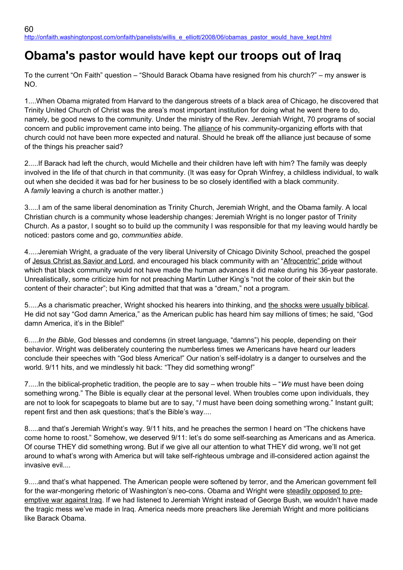## **Obama's pastor would have kept our troops out of Iraq**

To the current "On Faith" question – "Should Barack Obama have resigned from his church?" – my answer is NO.

1....When Obama migrated from Harvard to the dangerous streets of a black area of Chicago, he discovered that Trinity United Church of Christ was the area's most important institution for doing what he went there to do, namely, be good news to the community. Under the ministry of the Rev. Jeremiah Wright, 70 programs of social concern and public improvement came into being. The alliance of his community-organizing efforts with that church could not have been more expected and natural. Should he break off the alliance just because of some of the things his preacher said?

2.....If Barack had left the church, would Michelle and their children have left with him? The family was deeply involved in the life of that church in that community. (It was easy for Oprah Winfrey, a childless individual, to walk out when she decided it was bad for her business to be so closely identified with a black community. A *family* leaving a church is another matter.)

3.....I am of the same liberal denomination as Trinity Church, Jeremiah Wright, and the Obama family. A local Christian church is a community whose leadership changes: Jeremiah Wright is no longer pastor of Trinity Church. As a pastor, I sought so to build up the community I was responsible for that my leaving would hardly be noticed: pastors come and go, *communities abide*.

4.....Jeremiah Wright, a graduate of the very liberal University of Chicago Divinity School, preached the gospel of Jesus Christ as Savior and Lord, and encouraged his black community with an "Afrocentric" pride without which that black community would not have made the human advances it did make during his 36-year pastorate. Unrealistically, some criticize him for not preaching Martin Luther King's "not the color of their skin but the content of their character"; but King admitted that that was a "dream," not a program.

5.....As a charismatic preacher, Wright shocked his hearers into thinking, and the shocks were usually biblical. He did not say "God damn America," as the American public has heard him say millions of times; he said, "God damn America, it's in the Bible!"

6.....*In the Bible*, God blesses and condemns (in street language, "damns") his people, depending on their behavior. Wright was deliberately countering the numberless times we Americans have heard our leaders conclude their speeches with "God bless America!" Our nation's self-idolatry is a danger to ourselves and the world. 9/11 hits, and we mindlessly hit back: "They did something wrong!"

7.....In the biblical-prophetic tradition, the people are to say – when trouble hits – "*We* must have been doing something wrong." The Bible is equally clear at the personal level. When troubles come upon individuals, they are not to look for scapegoats to blame but are to say, "*I* must have been doing something wrong." Instant guilt; repent first and then ask questions; that's the Bible's way....

8.....and that's Jeremiah Wright's way. 9/11 hits, and he preaches the sermon I heard on "The chickens have come home to roost." Somehow, we deserved 9/11: let's do some self-searching as Americans and as America. Of course THEY did something wrong. But if we give all our attention to what THEY did wrong, we'll not get around to what's wrong with America but will take self-righteous umbrage and ill-considered action against the invasive evil....

9.....and that's what happened. The American people were softened by terror, and the American government fell for the war-mongering rhetoric of Washington's neo-cons. Obama and Wright were steadily opposed to preemptive war against Iraq. If we had listened to Jeremiah Wright instead of George Bush, we wouldn't have made the tragic mess we've made in Iraq. America needs more preachers like Jeremiah Wright and more politicians like Barack Obama.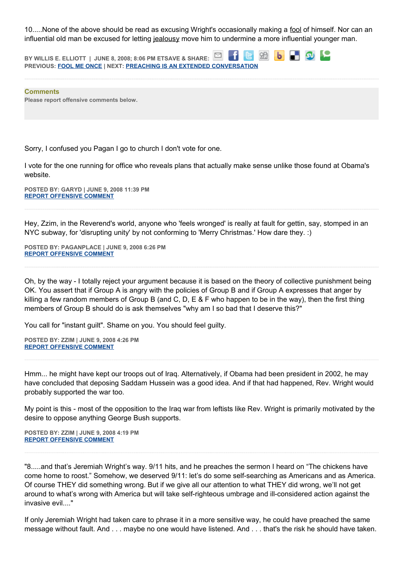10.....None of the above should be read as excusing Wright's occasionally making a fool of himself. Nor can an influential old man be excused for letting jealousy move him to undermine a more influential younger man.

**BY WILLIS E. ELLIOTT | JUNE 8, 2008; 8:06 PM ETSAVE & SHARE: b a s PREVIOUS: [FOOL ME ONCE](http://onfaith.washingtonpost.com/onfaith/panelists/kathleen_flake/2008/06/fool_me_once.html) | NEXT: [PREACHING IS AN EXTENDED CONVERSATION](http://onfaith.washingtonpost.com/onfaith/panelists/william_tully/2008/06/preaching_is_an_extended_conve.html)**

**Comments Please report offensive comments below.**

Sorry, I confused you Pagan I go to church I don't vote for one.

I vote for the one running for office who reveals plans that actually make sense unlike those found at Obama's website.

**POSTED BY: GARYD | JUNE 9, 2008 11:39 PM [REPORT OFFENSIVE COMMENT](mailto:blogs@washingtonpost.com?subject=On%20Faith%20Panelists%20Blog%20%20%7C%20%20Garyd%20%20%7C%20%20Obama)**

Hey, Zzim, in the Reverend's world, anyone who 'feels wronged' is really at fault for gettin, say, stomped in an NYC subway, for 'disrupting unity' by not conforming to 'Merry Christmas.' How dare they. :)

**POSTED BY: PAGANPLACE | JUNE 9, 2008 6:26 PM [REPORT OFFENSIVE COMMENT](mailto:blogs@washingtonpost.com?subject=On%20Faith%20Panelists%20Blog%20%20%7C%20%20Paganplace%20%20%7C%20%20Obama)**

Oh, by the way - I totally reject your argument because it is based on the theory of collective punishment being OK. You assert that if Group A is angry with the policies of Group B and if Group A expresses that anger by killing a few random members of Group B (and C, D, E & F who happen to be in the way), then the first thing members of Group B should do is ask themselves "why am I so bad that I deserve this?"

You call for "instant guilt". Shame on you. You should feel guilty.

**POSTED BY: ZZIM | JUNE 9, 2008 4:26 PM [REPORT OFFENSIVE COMMENT](mailto:blogs@washingtonpost.com?subject=On%20Faith%20Panelists%20Blog%20%20%7C%20%20ZZim%20%20%7C%20%20Obama)**

Hmm... he might have kept our troops out of Iraq. Alternatively, if Obama had been president in 2002, he may have concluded that deposing Saddam Hussein was a good idea. And if that had happened, Rev. Wright would probably supported the war too.

My point is this - most of the opposition to the Iraq war from leftists like Rev. Wright is primarily motivated by the desire to oppose anything George Bush supports.

**POSTED BY: ZZIM | JUNE 9, 2008 4:19 PM [REPORT OFFENSIVE COMMENT](mailto:blogs@washingtonpost.com?subject=On%20Faith%20Panelists%20Blog%20%20%7C%20%20ZZim%20%20%7C%20%20Obama)**

"8.....and that's Jeremiah Wright's way. 9/11 hits, and he preaches the sermon I heard on "The chickens have come home to roost." Somehow, we deserved 9/11: let's do some self-searching as Americans and as America. Of course THEY did something wrong. But if we give all our attention to what THEY did wrong, we'll not get around to what's wrong with America but will take self-righteous umbrage and ill-considered action against the invasive evil...."

If only Jeremiah Wright had taken care to phrase it in a more sensitive way, he could have preached the same message without fault. And . . . maybe no one would have listened. And . . . that's the risk he should have taken.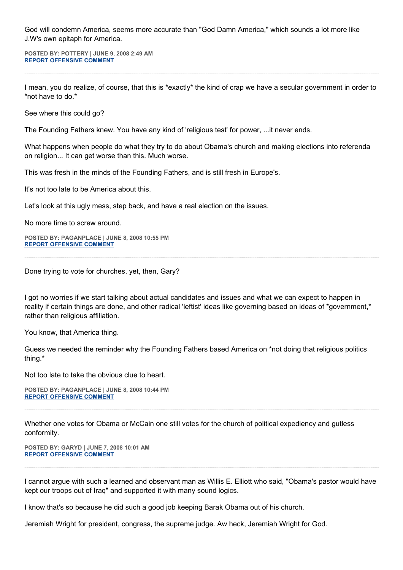God will condemn America, seems more accurate than "God Damn America," which sounds a lot more like J.W's own epitaph for America.

**POSTED BY: POTTERY | JUNE 9, 2008 2:49 AM [REPORT OFFENSIVE COMMENT](mailto:blogs@washingtonpost.com?subject=On%20Faith%20Panelists%20Blog%20%20%7C%20%20Pottery%20%20%7C%20%20Obama)**

I mean, you do realize, of course, that this is \*exactly\* the kind of crap we have a secular government in order to \*not have to do.\*

See where this could go?

The Founding Fathers knew. You have any kind of 'religious test' for power, ...it never ends.

What happens when people do what they try to do about Obama's church and making elections into referenda on religion... It can get worse than this. Much worse.

This was fresh in the minds of the Founding Fathers, and is still fresh in Europe's.

It's not too late to be America about this.

Let's look at this ugly mess, step back, and have a real election on the issues.

No more time to screw around.

**POSTED BY: PAGANPLACE | JUNE 8, 2008 10:55 PM [REPORT OFFENSIVE COMMENT](mailto:blogs@washingtonpost.com?subject=On%20Faith%20Panelists%20Blog%20%20%7C%20%20Paganplace%20%20%7C%20%20Obama)**

Done trying to vote for churches, yet, then, Gary?

I got no worries if we start talking about actual candidates and issues and what we can expect to happen in reality if certain things are done, and other radical 'leftist' ideas like governing based on ideas of \*government,\* rather than religious affiliation.

You know, that America thing.

Guess we needed the reminder why the Founding Fathers based America on \*not doing that religious politics thing.\*

Not too late to take the obvious clue to heart.

**POSTED BY: PAGANPLACE | JUNE 8, 2008 10:44 PM [REPORT OFFENSIVE COMMENT](mailto:blogs@washingtonpost.com?subject=On%20Faith%20Panelists%20Blog%20%20%7C%20%20Paganplace%20%20%7C%20%20Obama)**

Whether one votes for Obama or McCain one still votes for the church of political expediency and gutless conformity.

**POSTED BY: GARYD | JUNE 7, 2008 10:01 AM [REPORT OFFENSIVE COMMENT](mailto:blogs@washingtonpost.com?subject=On%20Faith%20Panelists%20Blog%20%20%7C%20%20garyd%20%20%7C%20%20Obama)**

I cannot argue with such a learned and observant man as Willis E. Elliott who said, "Obama's pastor would have kept our troops out of Iraq" and supported it with many sound logics.

I know that's so because he did such a good job keeping Barak Obama out of his church.

Jeremiah Wright for president, congress, the supreme judge. Aw heck, Jeremiah Wright for God.